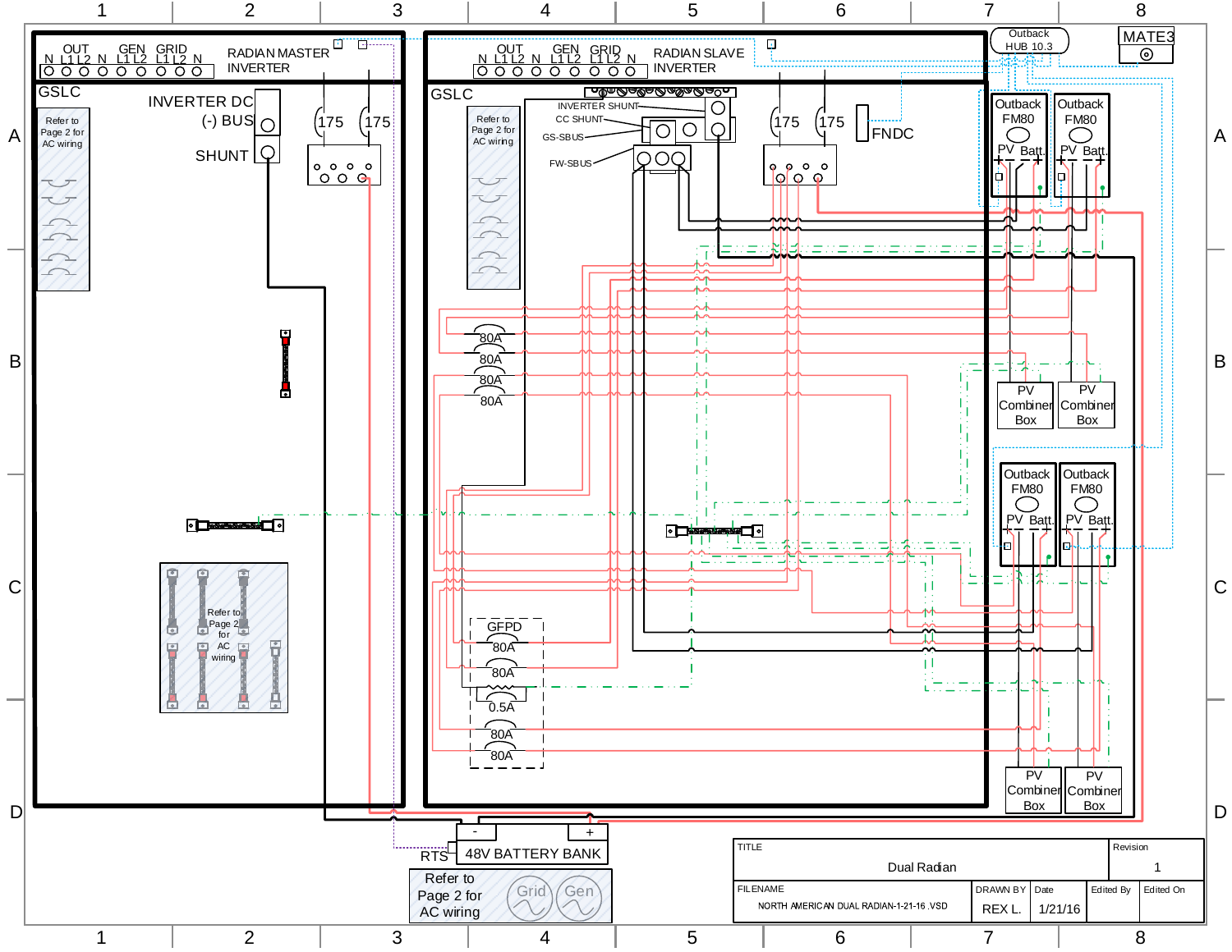